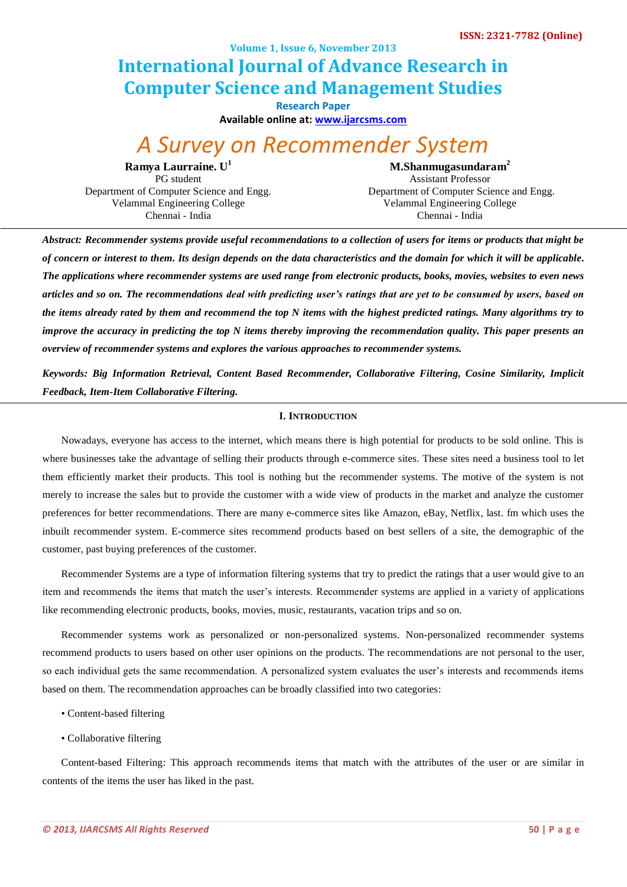**Volume 1, Issue 6, November 2013**

# **International Journal of Advance Research in Computer Science and Management Studies**

**Research Paper**

**Available online at: [www.ijarcsms.com](http://www.ijarcsms.com/)**

# *A Survey on Recommender System*

**Ramya Laurraine. U<sup>1</sup> M.Shanmugasundaram<sup>2</sup>** PG student Department of Computer Science and Engg. Velammal Engineering College Chennai - India

Assistant Professor Department of Computer Science and Engg. Velammal Engineering College Chennai - India

*Abstract: Recommender systems provide useful recommendations to a collection of users for items or products that might be of concern or interest to them. Its design depends on the data characteristics and the domain for which it will be applicable. The applications where recommender systems are used range from electronic products, books, movies, websites to even news articles and so on. The recommendations deal with predicting user's ratings that are yet to be consumed by users, based on the items already rated by them and recommend the top N items with the highest predicted ratings. Many algorithms try to improve the accuracy in predicting the top N items thereby improving the recommendation quality. This paper presents an overview of recommender systems and explores the various approaches to recommender systems.*

*Keywords: Big Information Retrieval, Content Based Recommender, Collaborative Filtering, Cosine Similarity, Implicit Feedback, Item-Item Collaborative Filtering.*

# **I. INTRODUCTION**

Nowadays, everyone has access to the internet, which means there is high potential for products to be sold online. This is where businesses take the advantage of selling their products through e-commerce sites. These sites need a business tool to let them efficiently market their products. This tool is nothing but the recommender systems. The motive of the system is not merely to increase the sales but to provide the customer with a wide view of products in the market and analyze the customer preferences for better recommendations. There are many e-commerce sites like Amazon, eBay, Netflix, last. fm which uses the inbuilt recommender system. E-commerce sites recommend products based on best sellers of a site, the demographic of the customer, past buying preferences of the customer.

Recommender Systems are a type of information filtering systems that try to predict the ratings that a user would give to an item and recommends the items that match the user's interests. Recommender systems are applied in a variety of applications like recommending electronic products, books, movies, music, restaurants, vacation trips and so on.

Recommender systems work as personalized or non-personalized systems. Non-personalized recommender systems recommend products to users based on other user opinions on the products. The recommendations are not personal to the user, so each individual gets the same recommendation. A personalized system evaluates the user's interests and recommends items based on them. The recommendation approaches can be broadly classified into two categories:

- Content-based filtering
- Collaborative filtering

Content-based Filtering: This approach recommends items that match with the attributes of the user or are similar in contents of the items the user has liked in the past.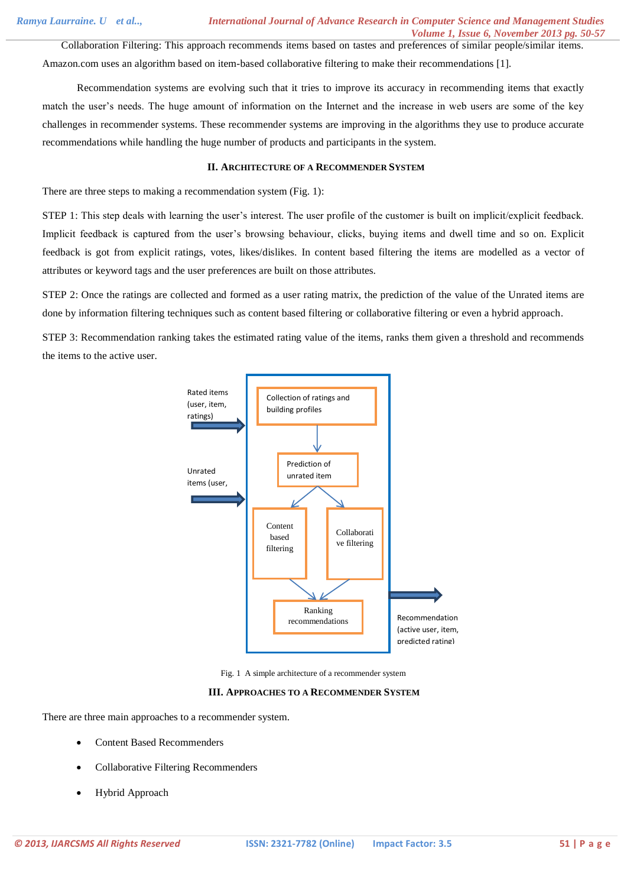Collaboration Filtering: This approach recommends items based on tastes and preferences of similar people/similar items. Amazon.com uses an algorithm based on item-based collaborative filtering to make their recommendations [1].

 Recommendation systems are evolving such that it tries to improve its accuracy in recommending items that exactly match the user's needs. The huge amount of information on the Internet and the increase in web users are some of the key challenges in recommender systems. These recommender systems are improving in the algorithms they use to produce accurate recommendations while handling the huge number of products and participants in the system.

# **II. ARCHITECTURE OF A RECOMMENDER SYSTEM**

There are three steps to making a recommendation system (Fig. 1):

STEP 1: This step deals with learning the user's interest. The user profile of the customer is built on implicit/explicit feedback. Implicit feedback is captured from the user's browsing behaviour, clicks, buying items and dwell time and so on. Explicit feedback is got from explicit ratings, votes, likes/dislikes. In content based filtering the items are modelled as a vector of attributes or keyword tags and the user preferences are built on those attributes.

STEP 2: Once the ratings are collected and formed as a user rating matrix, the prediction of the value of the Unrated items are done by information filtering techniques such as content based filtering or collaborative filtering or even a hybrid approach.

STEP 3: Recommendation ranking takes the estimated rating value of the items, ranks them given a threshold and recommends the items to the active user.



Fig. 1 A simple architecture of a recommender system

#### **III. APPROACHES TO A RECOMMENDER SYSTEM**

There are three main approaches to a recommender system.

- Content Based Recommenders
- Collaborative Filtering Recommenders
- Hybrid Approach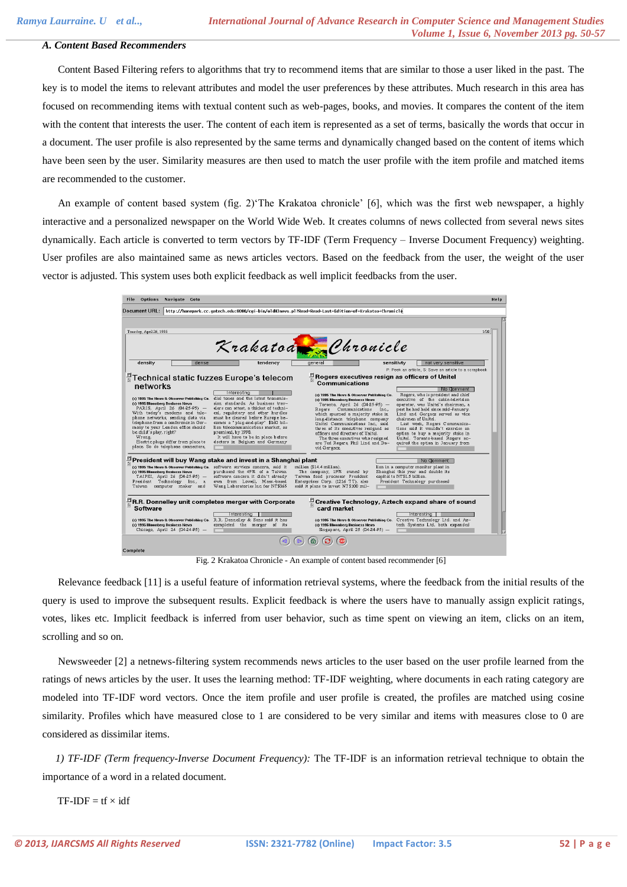#### *A. Content Based Recommenders*

 Content Based Filtering refers to algorithms that try to recommend items that are similar to those a user liked in the past. The key is to model the items to relevant attributes and model the user preferences by these attributes. Much research in this area has focused on recommending items with textual content such as web-pages, books, and movies. It compares the content of the item with the content that interests the user. The content of each item is represented as a set of terms, basically the words that occur in a document. The user profile is also represented by the same terms and dynamically changed based on the content of items which have been seen by the user. Similarity measures are then used to match the user profile with the item profile and matched items are recommended to the customer.

 An example of content based system (fig. 2)'The Krakatoa chronicle' [6], which was the first web newspaper, a highly interactive and a personalized newspaper on the World Wide Web. It creates columns of news collected from several news sites dynamically. Each article is converted to term vectors by TF-IDF (Term Frequency – Inverse Document Frequency) weighting. User profiles are also maintained same as news articles vectors. Based on the feedback from the user, the weight of the user vector is adjusted. This system uses both explicit feedback as well implicit feedbacks from the user.



Fig. 2 Krakatoa Chronicle - An example of content based recommender [6]

 Relevance feedback [11] is a useful feature of information retrieval systems, where the feedback from the initial results of the query is used to improve the subsequent results. Explicit feedback is where the users have to manually assign explicit ratings, votes, likes etc. Implicit feedback is inferred from user behavior, such as time spent on viewing an item, clicks on an item, scrolling and so on.

 Newsweeder [2] a netnews-filtering system recommends news articles to the user based on the user profile learned from the ratings of news articles by the user. It uses the learning method: TF-IDF weighting, where documents in each rating category are modeled into TF-IDF word vectors. Once the item profile and user profile is created, the profiles are matched using cosine similarity. Profiles which have measured close to 1 are considered to be very similar and items with measures close to 0 are considered as dissimilar items.

 *1) TF-IDF (Term frequency-Inverse Document Frequency):* The TF-IDF is an information retrieval technique to obtain the importance of a word in a related document.

 $TF-IDF = tf \times idf$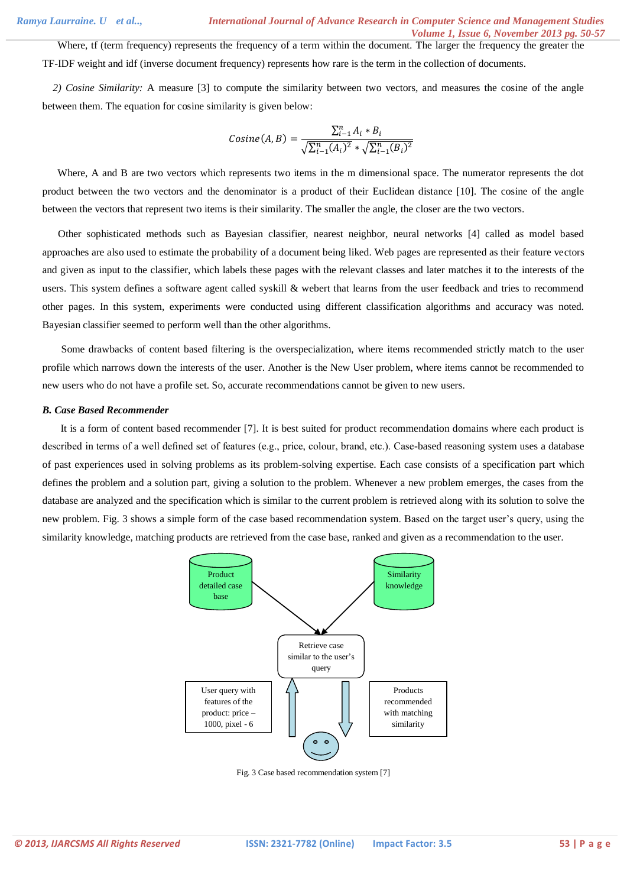Where, tf (term frequency) represents the frequency of a term within the document. The larger the frequency the greater the TF-IDF weight and idf (inverse document frequency) represents how rare is the term in the collection of documents.

 *2) Cosine Similarity:* A measure [3] to compute the similarity between two vectors, and measures the cosine of the angle between them. The equation for cosine similarity is given below:

$$
Cosine(A, B) = \frac{\sum_{i=1}^{n} A_i * B_i}{\sqrt{\sum_{i=1}^{n} (A_i)^2} * \sqrt{\sum_{i=1}^{n} (B_i)^2}}
$$

Where, A and B are two vectors which represents two items in the m dimensional space. The numerator represents the dot product between the two vectors and the denominator is a product of their Euclidean distance [10]. The cosine of the angle between the vectors that represent two items is their similarity. The smaller the angle, the closer are the two vectors.

 Other sophisticated methods such as Bayesian classifier, nearest neighbor, neural networks [4] called as model based approaches are also used to estimate the probability of a document being liked. Web pages are represented as their feature vectors and given as input to the classifier, which labels these pages with the relevant classes and later matches it to the interests of the users. This system defines a software agent called syskill & webert that learns from the user feedback and tries to recommend other pages. In this system, experiments were conducted using different classification algorithms and accuracy was noted. Bayesian classifier seemed to perform well than the other algorithms.

Some drawbacks of content based filtering is the overspecialization, where items recommended strictly match to the user profile which narrows down the interests of the user. Another is the New User problem, where items cannot be recommended to new users who do not have a profile set. So, accurate recommendations cannot be given to new users.

#### *B. Case Based Recommender*

It is a form of content based recommender [7]. It is best suited for product recommendation domains where each product is described in terms of a well defined set of features (e.g., price, colour, brand, etc.). Case-based reasoning system uses a database of past experiences used in solving problems as its problem-solving expertise. Each case consists of a specification part which defines the problem and a solution part, giving a solution to the problem. Whenever a new problem emerges, the cases from the database are analyzed and the specification which is similar to the current problem is retrieved along with its solution to solve the new problem. Fig. 3 shows a simple form of the case based recommendation system. Based on the target user's query, using the similarity knowledge, matching products are retrieved from the case base, ranked and given as a recommendation to the user.



Fig. 3 Case based recommendation system [7]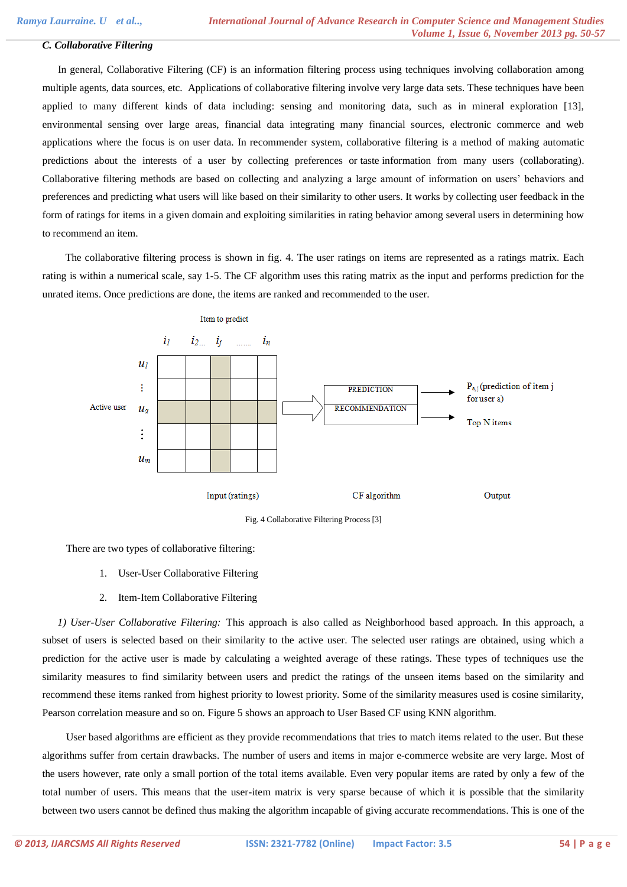# *C. Collaborative Filtering*

 In general, Collaborative Filtering (CF) is an information filtering process using techniques involving collaboration among multiple agents, data sources, etc. Applications of collaborative filtering involve very large data sets. These techniques have been applied to many different kinds of data including: sensing and monitoring data, such as in mineral exploration [13], environmental sensing over large areas, financial data integrating many financial sources, electronic commerce and web applications where the focus is on user data. In recommender system, collaborative filtering is a method of making automatic predictions about the interests of a user by collecting preferences or taste information from many users (collaborating). Collaborative filtering methods are based on collecting and analyzing a large amount of information on users' behaviors and preferences and predicting what users will like based on their similarity to other users. It works by collecting user feedback in the form of ratings for items in a given domain and exploiting similarities in rating behavior among several users in determining how to recommend an item.

 The collaborative filtering process is shown in fig. 4. The user ratings on items are represented as a ratings matrix. Each rating is within a numerical scale, say 1-5. The CF algorithm uses this rating matrix as the input and performs prediction for the unrated items. Once predictions are done, the items are ranked and recommended to the user.



Fig. 4 Collaborative Filtering Process [3]

There are two types of collaborative filtering:

- 1. User-User Collaborative Filtering
- 2. Item-Item Collaborative Filtering

*1) User-User Collaborative Filtering:* This approach is also called as Neighborhood based approach. In this approach, a subset of users is selected based on their similarity to the active user. The selected user ratings are obtained, using which a prediction for the active user is made by calculating a weighted average of these ratings. These types of techniques use the similarity measures to find similarity between users and predict the ratings of the unseen items based on the similarity and recommend these items ranked from highest priority to lowest priority. Some of the similarity measures used is cosine similarity, Pearson correlation measure and so on. Figure 5 shows an approach to User Based CF using KNN algorithm.

User based algorithms are efficient as they provide recommendations that tries to match items related to the user. But these algorithms suffer from certain drawbacks. The number of users and items in major e-commerce website are very large. Most of the users however, rate only a small portion of the total items available. Even very popular items are rated by only a few of the total number of users. This means that the user-item matrix is very sparse because of which it is possible that the similarity between two users cannot be defined thus making the algorithm incapable of giving accurate recommendations. This is one of the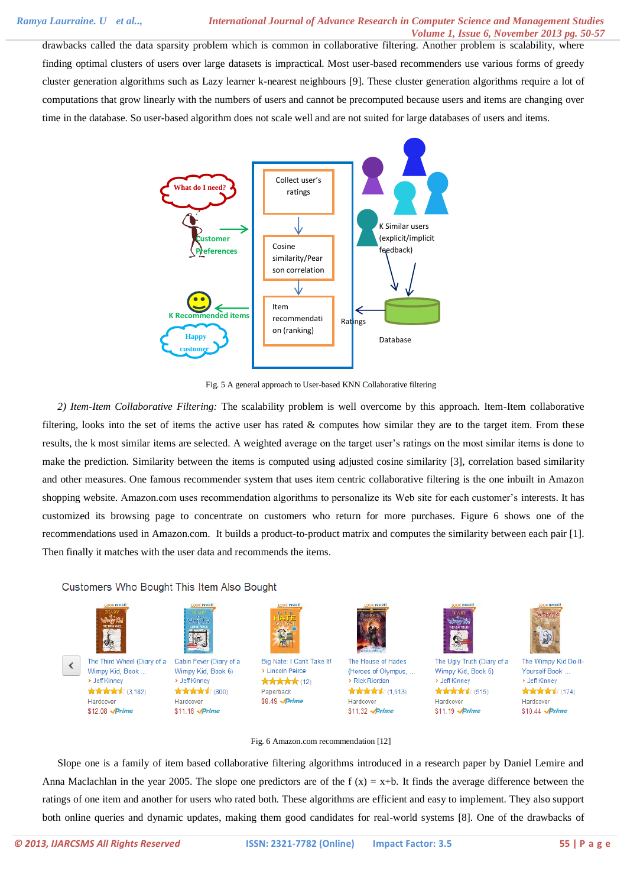drawbacks called the data sparsity problem which is common in collaborative filtering. Another problem is scalability, where finding optimal clusters of users over large datasets is impractical. Most user-based recommenders use various forms of greedy cluster generation algorithms such as Lazy learner k-nearest neighbours [9]. These cluster generation algorithms require a lot of computations that grow linearly with the numbers of users and cannot be precomputed because users and items are changing over time in the database. So user-based algorithm does not scale well and are not suited for large databases of users and items.



Fig. 5 A general approach to User-based KNN Collaborative filtering

*2) Item-Item Collaborative Filtering:* The scalability problem is well overcome by this approach. Item-Item collaborative filtering, looks into the set of items the active user has rated  $\&$  computes how similar they are to the target item. From these results, the k most similar items are selected. A weighted average on the target user's ratings on the most similar items is done to make the prediction. Similarity between the items is computed using adjusted cosine similarity [3], correlation based similarity and other measures. One famous recommender system that uses item centric collaborative filtering is the one inbuilt in Amazon shopping website. Amazon.com uses recommendation algorithms to personalize its Web site for each customer's interests. It has customized its browsing page to concentrate on customers who return for more purchases. Figure 6 shows one of the recommendations used in Amazon.com. It builds a product-to-product matrix and computes the similarity between each pair [1]. Then finally it matches with the user data and recommends the items.

Customers Who Bought This Item Also Bought



> Jeff Kinney

Hardcover

\$12.08 Prime

 $\boldsymbol\zeta$ 



The Third Wheel (Diary of a Cabin Fever (Diary of a Wimpy Kid, Book ... Wimpy Kid, Book 6) > Jeff Kinney ★★★★★ (3,182) **\*\*\*\*** (800) Hardcover \$11.16 /*Prime* 



Big Nate: I Can't Take It! > Lincoln Peirce ★★★★★ (12) Paperback \$8.49 Prime



The House of Hades (Heroes of Olympus, ... > Rick Riordan \*\*\*\*\*\*\*(1,613) Hardcover \$11.32 Prime

The Ugly Truth (Diary of a Wimpy Kid, Book 5) > Jeff Kinney

\*\*\*\*\*\* Hardcover \$11.19 Prime



The Wimpy Kid Do-It-Yourself Book .. > Jeff Kinney **\*\*\*\*\*** (174) Hardcover \$10.44 Prime

# Fig. 6 Amazon.com recommendation [12]

Slope one is a family of item based collaborative filtering algorithms introduced in a research paper by Daniel Lemire and Anna Maclachlan in the year 2005. The slope one predictors are of the  $f(x) = x+b$ . It finds the average difference between the ratings of one item and another for users who rated both. These algorithms are efficient and easy to implement. They also support both online queries and dynamic updates, making them good candidates for real-world systems [8]. One of the drawbacks of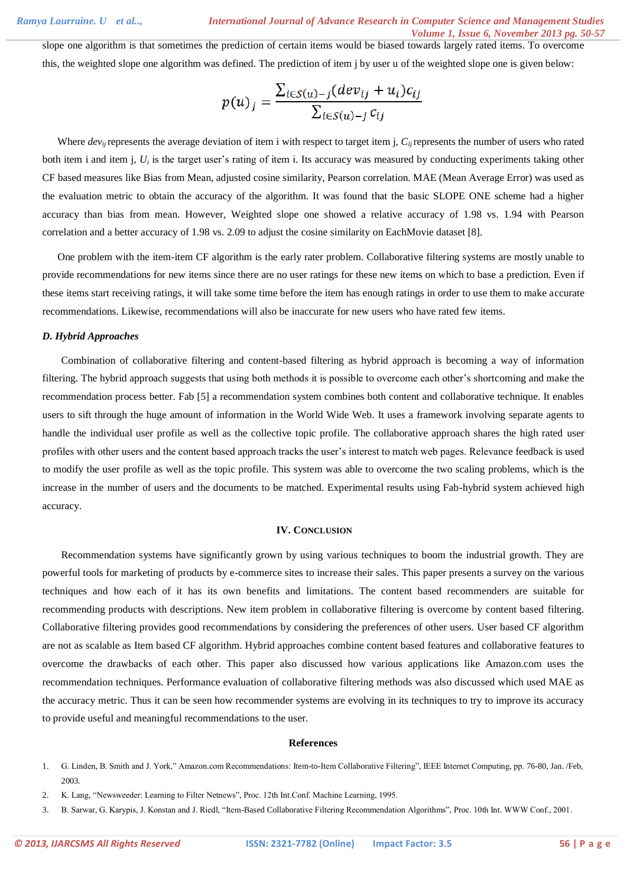slope one algorithm is that sometimes the prediction of certain items would be biased towards largely rated items. To overcome this, the weighted slope one algorithm was defined. The prediction of item j by user u of the weighted slope one is given below:

$$
p(u)_j = \frac{\sum_{i \in S(u)-j}(dev_{ij} + u_i)c_{ij}}{\sum_{i \in S(u)-j} c_{ij}}
$$

Where *devij*represents the average deviation of item i with respect to target item j, *Cij* represents the number of users who rated both item i and item j,  $U_i$  is the target user's rating of item i. Its accuracy was measured by conducting experiments taking other CF based measures like Bias from Mean, adjusted cosine similarity, Pearson correlation. MAE (Mean Average Error) was used as the evaluation metric to obtain the accuracy of the algorithm. It was found that the basic SLOPE ONE scheme had a higher accuracy than bias from mean. However, Weighted slope one showed a relative accuracy of 1.98 vs. 1.94 with Pearson correlation and a better accuracy of 1.98 vs. 2.09 to adjust the cosine similarity on EachMovie dataset [8].

One problem with the item-item CF algorithm is the early rater problem. Collaborative filtering systems are mostly unable to provide recommendations for new items since there are no user ratings for these new items on which to base a prediction. Even if these items start receiving ratings, it will take some time before the item has enough ratings in order to use them to make accurate recommendations. Likewise, recommendations will also be inaccurate for new users who have rated few items.

#### *D. Hybrid Approaches*

Combination of collaborative filtering and content-based filtering as hybrid approach is becoming a way of information filtering. The hybrid approach suggests that using both methods it is possible to overcome each other's shortcoming and make the recommendation process better. Fab [5] a recommendation system combines both content and collaborative technique. It enables users to sift through the huge amount of information in the World Wide Web. It uses a framework involving separate agents to handle the individual user profile as well as the collective topic profile. The collaborative approach shares the high rated user profiles with other users and the content based approach tracks the user's interest to match web pages. Relevance feedback is used to modify the user profile as well as the topic profile. This system was able to overcome the two scaling problems, which is the increase in the number of users and the documents to be matched. Experimental results using Fab-hybrid system achieved high accuracy.

#### **IV. CONCLUSION**

Recommendation systems have significantly grown by using various techniques to boom the industrial growth. They are powerful tools for marketing of products by e-commerce sites to increase their sales. This paper presents a survey on the various techniques and how each of it has its own benefits and limitations. The content based recommenders are suitable for recommending products with descriptions. New item problem in collaborative filtering is overcome by content based filtering. Collaborative filtering provides good recommendations by considering the preferences of other users. User based CF algorithm are not as scalable as Item based CF algorithm. Hybrid approaches combine content based features and collaborative features to overcome the drawbacks of each other. This paper also discussed how various applications like Amazon.com uses the recommendation techniques. Performance evaluation of collaborative filtering methods was also discussed which used MAE as the accuracy metric. Thus it can be seen how recommender systems are evolving in its techniques to try to improve its accuracy to provide useful and meaningful recommendations to the user.

### **References**

- 1. G. Linden, B. Smith and J. York," Amazon.com Recommendations: Item-to-Item Collaborative Filtering", IEEE Internet Computing, pp. 76-80, Jan. /Feb, 2003.
- 2. K. Lang, "Newsweeder: Learning to Filter Netnews", Proc. 12th Int.Conf. Machine Learning, 1995.
- 3. B. Sarwar, G. Karypis, J. Konstan and J. Riedl, "Item-Based Collaborative Filtering Recommendation Algorithms", Proc. 10th Int. WWW Conf., 2001.